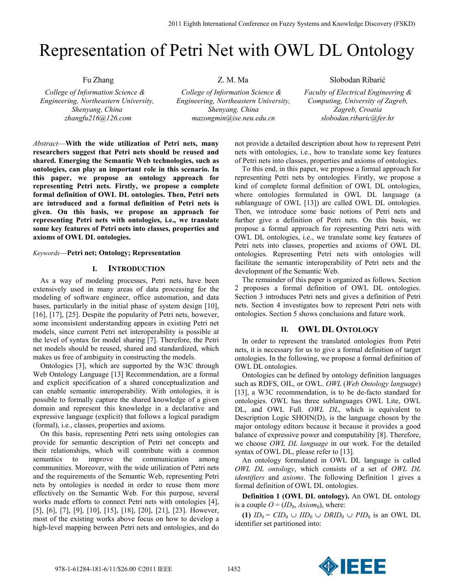# Representation of Petri Net with OWL DL Ontology

Fu Zhang

*College of Information Science & Engineering, Northeastern University, Shenyang, China zhangfu216@126.com* 

*College of Information Science & Engineering, Northeastern University, Shenyang, China mazongmin@ise.neu.edu.cn* 

Z. M. Ma

## Slobodan Ribarić

*Faculty of Electrical Engineering & Computing, University of Zagreb, Zagreb, Croatia slobodan.ribaric@fer.hr* 

*Abstract*—**With the wide utilization of Petri nets, many researchers suggest that Petri nets should be reused and shared. Emerging the Semantic Web technologies, such as ontologies, can play an important role in this scenario. In this paper, we propose an ontology approach for representing Petri nets. Firstly, we propose a complete formal definition of OWL DL ontologies. Then, Petri nets are introduced and a formal definition of Petri nets is given. On this basis, we propose an approach for representing Petri nets with ontologies, i.e., we translate some key features of Petri nets into classes, properties and axioms of OWL DL ontologies.** 

## *Keywords*—**Petri net; Ontology; Representation**

## **I. INTRODUCTION**

As a way of modeling processes, Petri nets, have been extensively used in many areas of data processing for the modeling of software engineer, office automation, and data bases, particularly in the initial phase of system design [10], [16], [17], [25]. Despite the popularity of Petri nets, however, some inconsistent understanding appears in existing Petri net models, since current Petri net interoperability is possible at the level of syntax for model sharing [7]. Therefore, the Petri net models should be reused, shared and standardized, which makes us free of ambiguity in constructing the models.

Ontologies [3], which are supported by the W3C through Web Ontology Language [13] Recommendation, are a formal and explicit specification of a shared conceptualization and can enable semantic interoperability. With ontologies, it is possible to formally capture the shared knowledge of a given domain and represent this knowledge in a declarative and expressive language (explicit) that follows a logical paradigm (formal), i.e., classes, properties and axioms.

On this basis, representing Petri nets using ontologies can provide for semantic description of Petri net concepts and their relationships, which will contribute with a common semantics to improve the communication among communities. Moreover, with the wide utilization of Petri nets and the requirements of the Semantic Web, representing Petri nets by ontologies is needed in order to reuse them more effectively on the Semantic Web. For this purpose, several works made efforts to connect Petri nets with ontologies [4], [5], [6], [7], [9], [10], [15], [18], [20], [21], [23]. However, most of the existing works above focus on how to develop a high-level mapping between Petri nets and ontologies, and do

not provide a detailed description about how to represent Petri nets with ontologies, i.e., how to translate some key features of Petri nets into classes, properties and axioms of ontologies.

To this end, in this paper, we propose a formal approach for representing Petri nets by ontologies. Firstly, we propose a kind of complete formal definition of OWL DL ontologies, where ontologies formulated in OWL DL language (a sublanguage of OWL [13]) are called OWL DL ontologies. Then, we introduce some basic notions of Petri nets and further give a definition of Petri nets. On this basis, we propose a formal approach for representing Petri nets with OWL DL ontologies, i.e., we translate some key features of Petri nets into classes, properties and axioms of OWL DL ontologies. Representing Petri nets with ontologies will facilitate the semantic interoperability of Petri nets and the development of the Semantic Web.

The remainder of this paper is organized as follows. Section 2 proposes a formal definition of OWL DL ontologies. Section 3 introduces Petri nets and gives a definition of Petri nets. Section 4 investigates how to represent Petri nets with ontologies. Section 5 shows conclusions and future work.

## **II. OWL DL ONTOLOGY**

In order to represent the translated ontologies from Petri nets, it is necessary for us to give a formal definition of target ontologies. In the following, we propose a formal definition of OWL DL ontologies.

Ontologies can be defined by ontology definition languages such as RDFS, OIL, or OWL. *OWL* (*Web Ontology language*) [13], a W3C recommendation, is to be de-facto standard for ontologies. OWL has three sublanguages OWL Lite, OWL DL, and OWL Full. *OWL DL*, which is equivalent to Description Logic SHOIN(D), is the language chosen by the major ontology editors because it because it provides a good balance of expressive power and computability [8]. Therefore, we choose *OWL DL language* in our work. For the detailed syntax of OWL DL, please refer to [13].

An ontology formulated in OWL DL language is called *OWL DL ontology*, which consists of a set of *OWL DL identifiers* and *axioms*. The following Definition 1 gives a formal definition of OWL DL ontologies.

**Definition 1 (OWL DL ontology).** An OWL DL ontology is a couple  $O = (ID_0, Axiom_0)$ , where:

**(1)**  $ID_0 = CID_0 \cup IID_0 \cup DRID_0 \cup PID_0$  is an OWL DL identifier set partitioned into:

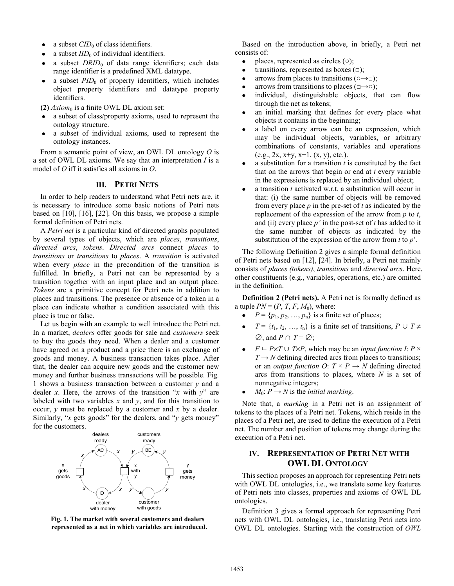- $\bullet$  a subset *CID*<sub>0</sub> of class identifiers.
- a subset  $\mathit{IID}_0$  of individual identifiers.
- a subset *DRID*<sup>0</sup> of data range identifiers; each data range identifier is a predefined XML datatype.
- a subset *PID*<sup>0</sup> of property identifiers, which includes object property identifiers and datatype property identifiers.
- $(2)$  *Axiom*<sup>0</sup> is a finite OWL DL axiom set:
- a subset of class/property axioms, used to represent the ontology structure.
- <sup>z</sup> a subset of individual axioms, used to represent the ontology instances.

From a semantic point of view, an OWL DL ontology *O* is a set of OWL DL axioms. We say that an interpretation *I* is a model of *O* iff it satisfies all axioms in *O*.

# **III. PETRI NETS**

In order to help readers to understand what Petri nets are, it is necessary to introduce some basic notions of Petri nets based on [10], [16], [22]. On this basis, we propose a simple formal definition of Petri nets.

A *Petri net* is a particular kind of directed graphs populated by several types of objects, which are *places*, *transitions*, *directed arcs*, *tokens*. *Directed arcs* connect *places* to *transitions* or *transitions* to *places*. A *transition* is activated when every *place* in the precondition of the transition is fulfilled. In briefly, a Petri net can be represented by a transition together with an input place and an output place. *Tokens* are a primitive concept for Petri nets in addition to places and transitions. The presence or absence of a token in a place can indicate whether a condition associated with this place is true or false.

Let us begin with an example to well introduce the Petri net. In a market, *dealers* offer goods for sale and *customers* seek to buy the goods they need. When a dealer and a customer have agreed on a product and a price there is an exchange of goods and money. A business transaction takes place. After that, the dealer can acquire new goods and the customer new money and further business transactions will be possible. Fig. 1 shows a business transaction between a customer *y* and a dealer *x*. Here, the arrows of the transition "*x* with  $y$ " are labeled with two variables  $x$  and  $y$ , and for this transition to occur, *y* must be replaced by a customer and *x* by a dealer. Similarly, "*x* gets goods" for the dealers, and "*y* gets money" for the customers.



 **Fig. 1. The market with several customers and dealers represented as a net in which variables are introduced.**

Based on the introduction above, in briefly, a Petri net consists of:

- places, represented as circles  $( \circ )$ ;
- transitions, represented as boxes  $(\square)$ ;
- arrows from places to transitions ( $\circ \rightarrow \circ$ );
- arrows from transitions to places  $(\square \rightarrow \odot)$ ;
- individual, distinguishable objects, that can flow through the net as tokens;
- an initial marking that defines for every place what objects it contains in the beginning;
- a label on every arrow can be an expression, which may be individual objects, variables, or arbitrary combinations of constants, variables and operations (e.g.,  $2x$ ,  $x+y$ ,  $x+1$ ,  $(x, y)$ , etc.).
- <sup>z</sup> a substitution for a transition *t* is constituted by the fact that on the arrows that begin or end at *t* every variable in the expressions is replaced by an individual object;
- <sup>z</sup> a transition *t* activated w.r.t. a substitution will occur in that: (i) the same number of objects will be removed from every place *p* in the pre-set of *t* as indicated by the replacement of the expression of the arrow from *p* to *t*, and (ii) every place *p'* in the post-set of *t* has added to it the same number of objects as indicated by the substitution of the expression of the arrow from *t* to *p*'.

The following Definition 2 gives a simple formal definition of Petri nets based on [12], [24]. In briefly, a Petri net mainly consists of *places (tokens)*, *transitions* and *directed arcs*. Here, other constituents (e.g., variables, operations, etc.) are omitted in the definition.

**Definition 2 (Petri nets).** A Petri net is formally defined as a tuple  $PN = (P, T, F, M_0)$ , where:

- $P = \{p_1, p_2, ..., p_n\}$  is a finite set of places;
- $T = \{t_1, t_2, ..., t_n\}$  is a finite set of transitions,  $P \cup T \neq$  $\varnothing$ , and  $P \cap T = \varnothing$ ;
- $F \subseteq P \times T \cup T \times P$ , which may be an *input function I*:  $P \times$  $T \rightarrow N$  defining directed arcs from places to transitions; or an *output function O*:  $T \times P \rightarrow N$  defining directed arcs from transitions to places, where *N* is a set of nonnegative integers;
- $M_0: P \to N$  is the *initial marking*.

Note that, a *marking* in a Petri net is an assignment of tokens to the places of a Petri net. Tokens, which reside in the places of a Petri net, are used to define the execution of a Petri net. The number and position of tokens may change during the execution of a Petri net.

## **IV. REPRESENTATION OF PETRI NET WITH OWL DL ONTOLOGY**

This section proposes an approach for representing Petri nets with OWL DL ontologies, i.e., we translate some key features of Petri nets into classes, properties and axioms of OWL DL ontologies.

Definition 3 gives a formal approach for representing Petri nets with OWL DL ontologies, i.e., translating Petri nets into OWL DL ontologies. Starting with the construction of *OWL*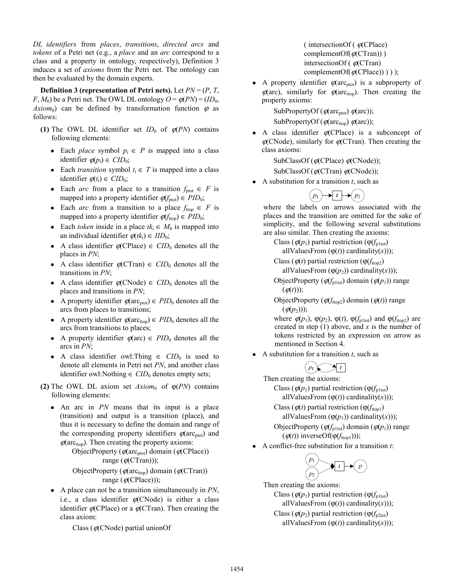*DL identifiers* from *places*, *transitions*, *directed arcs* and *tokens* of a Petri net (e.g., a *place* and an *arc* correspond to a class and a property in ontology, respectively), Definition 3 induces a set of *axioms* from the Petri net. The ontology can then be evaluated by the domain experts.

**Definition 3 (representation of Petri nets).** Let  $PN = (P, T, T)$  $F, M_0$ ) be a Petri net. The OWL DL ontology  $O = \phi(PN) = (ID_0,$  $Axiom_0$ ) can be defined by transformation function  $\varphi$  as follows:

- **(1)** The OWL DL identifier set  $ID_0$  of  $\varphi$ (*PN*) contains following elements:
	- Each *place* symbol  $p_i \in P$  is mapped into a class identifier  $\varphi(p_i) \in \text{CID}_0$ ;
	- Each *transition* symbol  $t_i \in T$  is mapped into a class identifier  $\varphi(t_i) \in CID_0$ ;
	- Each *arc* from a place to a transition  $f_{\text{ptot}} \in F$  is mapped into a property identifier  $\varphi(f_{\text{ptot}}) \in PID_0$ ;
	- Each *arc* from a transition to a place  $f_{\text{ttop}} \in F$  is mapped into a property identifier  $\varphi(f_{\text{ttop}}) \in PID_0$ ;
	- Each *token* inside in a place  $tk_i \in M_0$  is mapped into an individual identifier  $\varphi$ ( $tk$ <sub>i</sub>)  $\in$  *IID*<sub>0</sub>;
	- A class identifier  $\varphi$ (CPlace)  $\in$  *CID*<sub>0</sub> denotes all the places in *PN*;
	- A class identifier  $\varphi$ (CTran)  $\in$  *CID*<sub>0</sub> denotes all the transitions in *PN*;
	- A class identifier  $\phi$ (CNode)  $\in$  *CID*<sub>0</sub> denotes all the places and transitions in *PN*;
	- A property identifier  $\varphi(\text{arc}_{\text{ptot}}) \in PID_0$  denotes all the arcs from places to transitions;
	- A property identifier  $\varphi(\text{arc}_{\text{ttop}}) \in PID_0$  denotes all the arcs from transitions to places;
	- A property identifier  $\varphi(\text{arc}) \in PID_0$  denotes all the arcs in *PN*;
	- A class identifier owl:Thing  $\in$  *CID*<sup>0</sup> is used to denote all elements in Petri net *PN*, and another class identifier owl:Nothing ∈  $CID_0$  denotes empty sets;
- **(2)** The OWL DL axiom set  $Axiom_0$  of  $\varphi$ *(PN)* contains following elements:
	- An arc in *PN* means that its input is a place (transition) and output is a transition (place), and thus it is necessary to define the domain and range of the corresponding property identifiers  $\varphi(\text{arc}_{\text{ptot}})$  and  $\varphi(\text{arc}_{\text{ttop}})$ . Then creating the property axioms:

ObjectProperty ( $\varphi(\text{arc}_{\text{ptot}})$  domain ( $\varphi(\text{CPlace})$ ) range  $(\varphi$ (CTran));

ObjectProperty ( $\varphi(\text{arc}_{\text{ttop}})$  domain ( $\varphi(\text{CTran})$ ) range  $(\phi$ (CPlace)));

• A place can not be a transition simultaneously in *PN*, i.e., a class identifier  $\phi$ (CNode) is either a class identifier  $\phi$ (CPlace) or a  $\phi$ (CTran). Then creating the class axiom:

Class ( $\phi$ CNode) partial unionOf

( intersectionOf ( $\phi$ CPlace) complementOf( $\phi$ (CTran))) intersectionOf ( $\phi$ CTran) complementOf( $\varphi$ (CPlace)) ) );

• A property identifier  $\varphi(\text{arc}_{\text{ptot}})$  is a subproperty of  $\varphi$ (arc), similarly for  $\varphi$ (arc<sub>ttop</sub>). Then creating the property axioms:

> SubPropertyOf ( $\phi(\text{arc}_{\text{ptot}})$   $\phi(\text{arc})$ ); SubPropertyOf ( $\varphi(\text{arc}_{\text{ttop}})$   $\varphi(\text{arc})$ );

A class identifier  $\varphi$ (CPlace) is a subconcept of  $\phi$ (CNode), similarly for  $\phi$ (CTran). Then creating the class axioms:

SubClassOf ( $\phi$ (CPlace)  $\phi$ (CNode));

## SubClassOf ( $\phi$ (CTran)  $\phi$ (CNode));

<sup>z</sup> A substitution for a transition *t*, such as

$$
(p_1) \rightarrow t \rightarrow p_2
$$

where the labels on arrows associated with the places and the transition are omitted for the sake of simplicity, and the following several substitutions are also similar. Then creating the axioms:

Class ( $\varphi(p_1)$  partial restriction ( $\varphi(f_{\text{pltot}})$ ) allValuesFrom  $(\varphi(t))$  cardinality $(x)$ ));

Class ( $\varphi(t)$  partial restriction ( $\varphi(f_{\text{ttop2}})$ )

allValuesFrom  $(\varphi(p_2))$  cardinality $(x)$ ));

ObjectProperty ( $\varphi(f_{\text{plot}})$  domain ( $\varphi(p_1)$ ) range  $(\varphi(t))$ ;

ObjectProperty ( $\varphi(f_{\text{ttop2}})$  domain ( $\varphi(t)$ ) range  $(\varphi(p_2))$ ;

where  $\varphi(p_1)$ ,  $\varphi(p_2)$ ,  $\varphi(t)$ ,  $\varphi(f_{\text{plot}})$  and  $\varphi(f_{\text{ttop2}})$  are created in step (1) above, and *x* is the number of tokens restricted by an expression on arrow as mentioned in Section 4.

<sup>z</sup> A substitution for a transition *t*, such as

$$
p_1 \leftarrow f
$$

Then creating the axioms: Class ( $\varphi(p_1)$  partial restriction ( $\varphi(f_{\text{pltot}})$ )

allValuesFrom  $(\varphi(t))$  cardinality $(x)$ ));

Class ( $\varphi(t)$  partial restriction ( $\varphi(f_{\text{tton1}})$ ) allValuesFrom  $(\varphi(p_1))$  cardinality(x)));

ObjectProperty ( $\phi(f_{\text{plot}})$  domain ( $\phi(p_1)$ ) range  $(\varphi(t))$  inverseOf( $\varphi(f_{\text{top1}}))$ );

• A conflict-free substitution for a transition *t*:

$$
\begin{array}{c}\nP_1 \\
P_2\n\end{array}
$$

Then creating the axioms: Class ( $\varphi(p_1)$  partial restriction ( $\varphi(f_{\text{plot}})$ ) allValuesFrom  $(\varphi(t))$  cardinality $(x)$ ));

Class ( $\varphi(p_2)$  partial restriction ( $\varphi(f_{\text{p2tot}})$ allValuesFrom  $(\varphi(t))$  cardinality $(x)$ );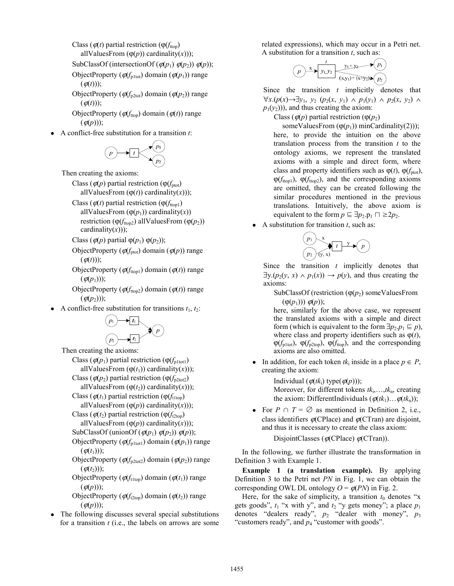Class ( $\varphi(t)$  partial restriction ( $\varphi(f_{\text{ttop}})$ ) allValuesFrom  $(\varphi(p))$  cardinality $(x)$ );

SubClassOf (intersectionOf  $(\varphi(p_1) \varphi(p_2)) \varphi(p)$ );

ObjectProperty ( $\varphi(f_{\text{plot}})$  domain ( $\varphi(p_1)$ ) range  $(\varphi(t))$ ;

ObjectProperty ( $\varphi(f_{p2\text{tot}})$  domain ( $\varphi(p_2)$ ) range  $(\varphi(t))$ ;

ObjectProperty ( $\varphi(f_{\text{ttop}})$  domain ( $\varphi(t)$ ) range  $(\varphi(p))$ ;

<sup>z</sup> A conflict-free substitution for a transition *t*:

$$
(p) \rightarrow t
$$

Then creating the axioms:

Class ( $\varphi(p)$  partial restriction ( $\varphi(f_{\text{ptot}})$ ) allValuesFrom  $(\varphi(t))$  cardinality $(x)$ );

Class ( $\varphi(t)$  partial restriction ( $\varphi(f_{\text{ttop}1})$ ) allValuesFrom  $(\varphi(p_1))$  cardinality(x)) restriction ( $\varphi(f_{\text{top2}})$  allValuesFrom ( $\varphi(p_2)$ ) cardinality(*x*)));

Class ( $\varphi(p)$  partial  $\varphi(p_1)$   $\varphi(p_2)$ );

- ObjectProperty ( $\varphi(f_{\text{ptot}})$  domain ( $\varphi(p)$ ) range  $(\varphi(t))$ ;
- ObjectProperty ( $\varphi(f_{\text{ttop1}})$  domain ( $\varphi(t)$ ) range  $(\varphi(p_1))$ ;

ObjectProperty ( $\varphi(f_{\text{ttop2}})$  domain ( $\varphi(t)$ ) range  $(\varphi(p_2))$ ;

• A conflict-free substitution for transitions  $t_1, t_2$ :



Then creating the axioms:

Class ( $\varphi(p_1)$  partial restriction ( $\varphi(f_{\text{plot1}})$ ) allValuesFrom  $(\varphi(t_1))$  cardinality $(x)$ ));

Class ( $\varphi(p_2)$  partial restriction ( $\varphi(f_{p2\text{tot}2})$ 

allValuesFrom  $(\varphi(t_2))$  cardinality $(x)$ );

Class ( $\varphi(t_1)$  partial restriction ( $\varphi(f_{tttop})$ )

allValuesFrom  $(\varphi(p))$  cardinality $(x)$ );

Class ( $\varphi(t_2)$  partial restriction ( $\varphi(f_{\text{2top}})$ ) allValuesFrom  $(\varphi(p))$  cardinality $(x)$ );

SubClassOf (unionOf  $(\varphi(p_1) \varphi(p_2)) \varphi(p)$ );

ObjectProperty ( $\varphi(f_{\text{plot1}})$  domain ( $\varphi(p_1)$ ) range  $(\varphi(t_1))$ ;

ObjectProperty ( $\varphi(f_{p2\text{tot}2})$  domain ( $\varphi(p_2)$ ) range  $(\varphi(t_2))$ ;

ObjectProperty ( $\varphi(f_{t1\text{top}})$  domain ( $\varphi(t_1)$ ) range  $(\varphi(p))$ ;

ObjectProperty ( $\varphi(f_{t2top})$  domain ( $\varphi(t_2)$ ) range  $(\varphi(p))$ ;

The following discusses several special substitutions for a transition *t* (i.e., the labels on arrows are some related expressions), which may occur in a Petri net. A substitution for a transition *t*, such as:



Since the transition *t* implicitly denotes that  $\forall x. (p(x) \rightarrow \exists y_1, y_2 \ (p_2(x, y_1) \land p_1(y_1) \land p_2(x, y_2) \land p_3(y_2)$  $p_1(y_2)$ ), and thus creating the axiom:

Class ( $\varphi(p)$  partial restriction ( $\varphi(p_2)$ )

someValuesFrom  $(\varphi(p_1))$  minCardinality(2))); here, to provide the intuition on the above translation process from the transition *t* to the ontology axioms, we represent the translated axioms with a simple and direct form, where class and property identifiers such as  $\varphi(t)$ ,  $\varphi(f_{\text{ptot}})$ ,  $\varphi(f_{\text{ttop1}})$ ,  $\varphi(f_{\text{ttop2}})$ , and the corresponding axioms are omitted, they can be created following the similar procedures mentioned in the previous translations. Intuitively, the above axiom is equivalent to the form  $p \nightharpoonup \exists p_2 \nightharpoonup p_1 \sqcap \geq 2p_2$ .

<sup>z</sup> A substitution for transition *t*, such as:

$$
\frac{(p_1)\cdot x}{(p_2)(y, x)} \qquad \qquad t \to p
$$

Since the transition *t* implicitly denotes that  $\exists y. (p_2(y, x) \land p_1(x)) \rightarrow p(y)$ , and thus creating the axioms:

SubClassOf (restriction  $(\varphi(p_2)$  someValuesFrom  $(\varphi(p_1))(\varphi(p));$ 

 here, similarly for the above case, we represent the translated axioms with a simple and direct form (which is equivalent to the form  $\exists p_2. p_1 \sqsubseteq p$ ), where class and property identifiers such as  $\varphi(t)$ ,  $\varphi(f_{\text{pltot}})$ ,  $\varphi(f_{\text{p2top}})$ ,  $\varphi(f_{\text{top}})$ , and the corresponding axioms are also omitted.

• In addition, for each token  $tk_i$  inside in a place  $p \in P$ , creating the axiom:

Individual  $(\varphi$ (*tk*<sub>i</sub>) type( $\varphi$ (*p*)));

Moreover, for different tokens *tk*i,…,*tk*n, creating the axiom: DifferentIndividuals  $(\varphi$ (*tk*<sub>1</sub>)… $\varphi$ (*tk*<sub>n</sub>));

• For  $P \cap T = \emptyset$  as mentioned in Definition 2, i.e., class identifiers  $\varphi$ (CPlace) and  $\varphi$ (CTran) are disjoint, and thus it is necessary to create the class axiom:

DisjointClasses ( $\phi$ (CPlace)  $\phi$ (CTran)).

In the following, we further illustrate the transformation in Definition 3 with Example 1.

**Example 1 (a translation example).** By applying Definition 3 to the Petri net *PN* in Fig. 1, we can obtain the corresponding OWL DL ontology  $O = \phi(PN)$  in Fig. 2.

Here, for the sake of simplicity, a transition  $t_0$  denotes "x" gets goods",  $t_1$  "x with y", and  $t_2$  "y gets money"; a place  $p_1$ denotes "dealers ready",  $p_2$  "dealer with money",  $p_3$ "customers ready", and  $p_4$  "customer with goods".